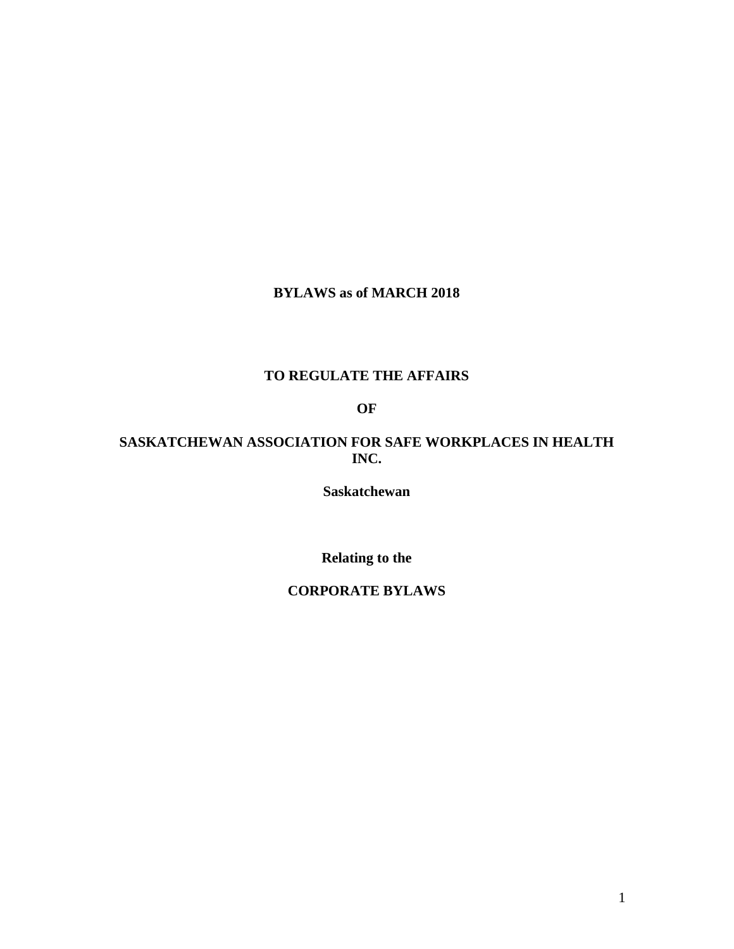# **BYLAWS as of MARCH 2018**

# **TO REGULATE THE AFFAIRS**

# **OF**

# **SASKATCHEWAN ASSOCIATION FOR SAFE WORKPLACES IN HEALTH INC.**

**Saskatchewan** 

**Relating to the** 

#### **CORPORATE BYLAWS**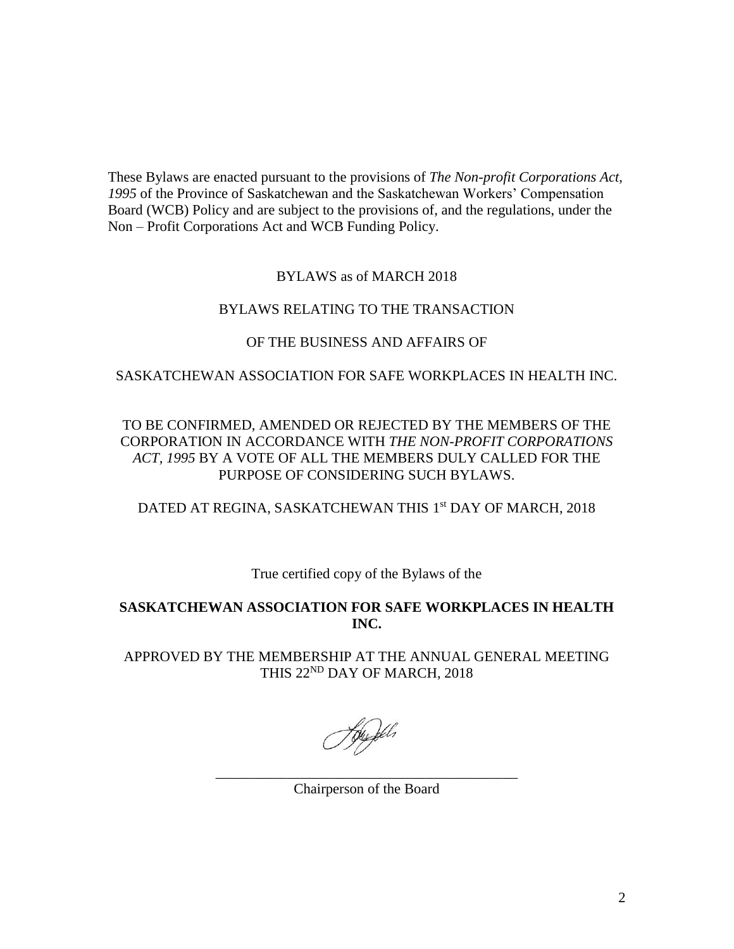These Bylaws are enacted pursuant to the provisions of *The Non-profit Corporations Act, 1995* of the Province of Saskatchewan and the Saskatchewan Workers' Compensation Board (WCB) Policy and are subject to the provisions of, and the regulations, under the Non – Profit Corporations Act and WCB Funding Policy.

### BYLAWS as of MARCH 2018

### BYLAWS RELATING TO THE TRANSACTION

# OF THE BUSINESS AND AFFAIRS OF

### SASKATCHEWAN ASSOCIATION FOR SAFE WORKPLACES IN HEALTH INC.

# TO BE CONFIRMED, AMENDED OR REJECTED BY THE MEMBERS OF THE CORPORATION IN ACCORDANCE WITH *THE NON-PROFIT CORPORATIONS ACT, 1995* BY A VOTE OF ALL THE MEMBERS DULY CALLED FOR THE PURPOSE OF CONSIDERING SUCH BYLAWS.

# DATED AT REGINA, SASKATCHEWAN THIS 1<sup>st</sup> DAY OF MARCH, 2018

# True certified copy of the Bylaws of the

# **SASKATCHEWAN ASSOCIATION FOR SAFE WORKPLACES IN HEALTH INC.**

APPROVED BY THE MEMBERSHIP AT THE ANNUAL GENERAL MEETING THIS 22<sup>ND</sup> DAY OF MARCH, 2018

\_\_\_\_\_\_\_\_\_\_\_\_\_\_\_\_\_\_\_\_\_\_\_\_\_\_\_\_\_\_\_\_\_\_\_\_\_\_\_\_\_\_ Chairperson of the Board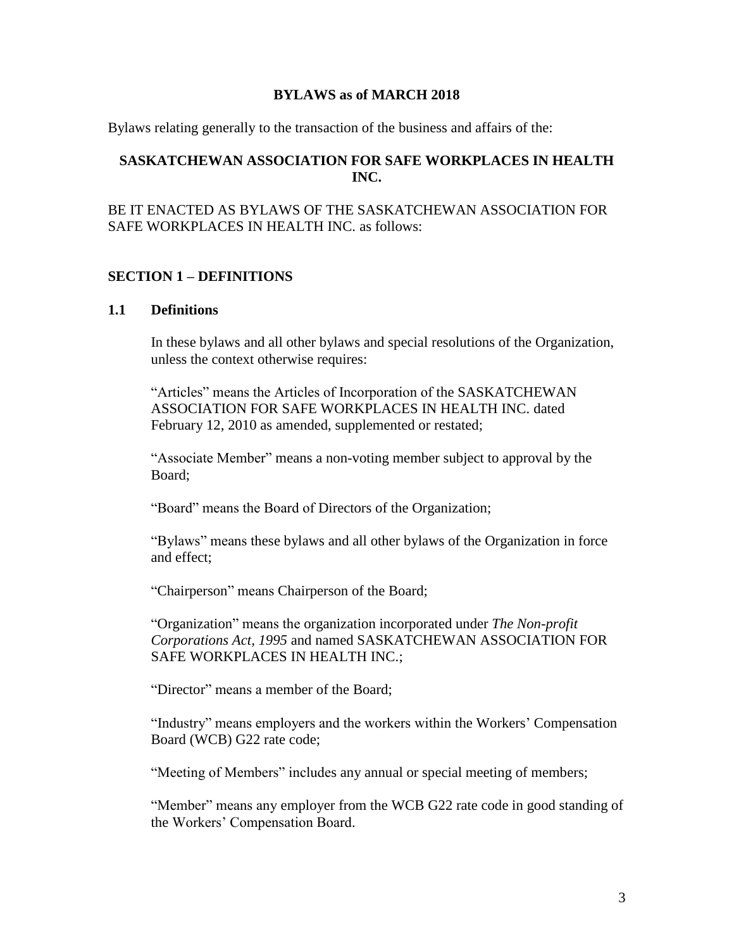#### **BYLAWS as of MARCH 2018**

Bylaws relating generally to the transaction of the business and affairs of the:

### **SASKATCHEWAN ASSOCIATION FOR SAFE WORKPLACES IN HEALTH INC.**

BE IT ENACTED AS BYLAWS OF THE SASKATCHEWAN ASSOCIATION FOR SAFE WORKPLACES IN HEALTH INC. as follows:

### **SECTION 1 – DEFINITIONS**

#### **1.1 Definitions**

In these bylaws and all other bylaws and special resolutions of the Organization, unless the context otherwise requires:

"Articles" means the Articles of Incorporation of the SASKATCHEWAN ASSOCIATION FOR SAFE WORKPLACES IN HEALTH INC. dated February 12, 2010 as amended, supplemented or restated;

"Associate Member" means a non-voting member subject to approval by the Board;

"Board" means the Board of Directors of the Organization;

"Bylaws" means these bylaws and all other bylaws of the Organization in force and effect;

"Chairperson" means Chairperson of the Board;

"Organization" means the organization incorporated under *The Non-profit Corporations Act, 1995* and named SASKATCHEWAN ASSOCIATION FOR SAFE WORKPLACES IN HEALTH INC.;

"Director" means a member of the Board;

"Industry" means employers and the workers within the Workers' Compensation Board (WCB) G22 rate code;

"Meeting of Members" includes any annual or special meeting of members;

"Member" means any employer from the WCB G22 rate code in good standing of the Workers' Compensation Board.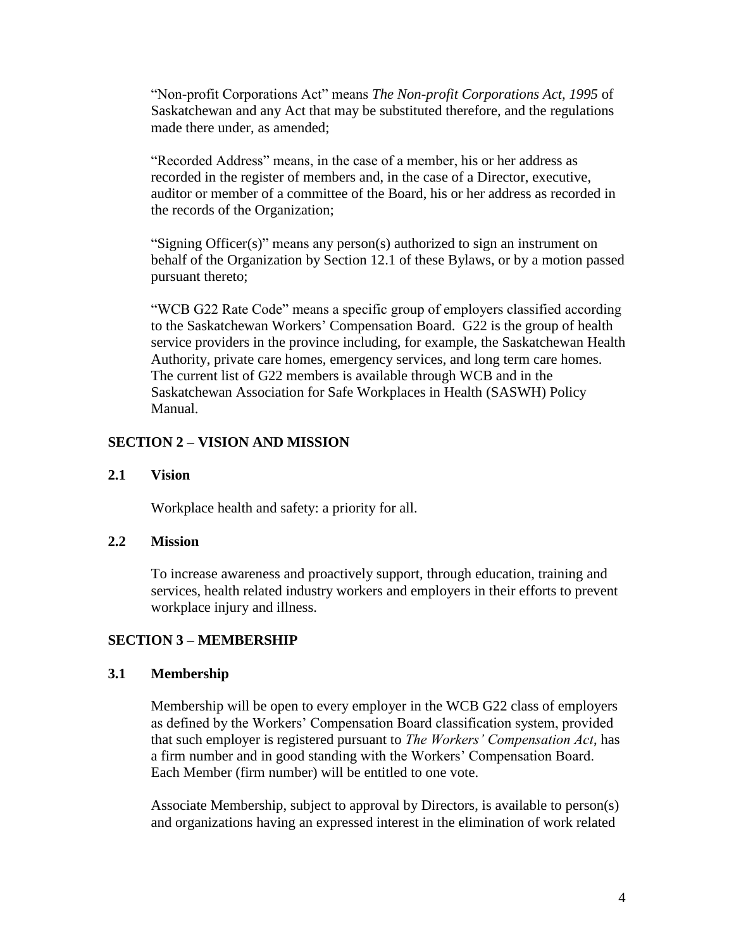"Non-profit Corporations Act" means *The Non-profit Corporations Act, 1995* of Saskatchewan and any Act that may be substituted therefore, and the regulations made there under, as amended;

"Recorded Address" means, in the case of a member, his or her address as recorded in the register of members and, in the case of a Director, executive, auditor or member of a committee of the Board, his or her address as recorded in the records of the Organization;

"Signing Officer(s)" means any person(s) authorized to sign an instrument on behalf of the Organization by Section 12.1 of these Bylaws, or by a motion passed pursuant thereto;

"WCB G22 Rate Code" means a specific group of employers classified according to the Saskatchewan Workers' Compensation Board. G22 is the group of health service providers in the province including, for example, the Saskatchewan Health Authority, private care homes, emergency services, and long term care homes. The current list of G22 members is available through WCB and in the Saskatchewan Association for Safe Workplaces in Health (SASWH) Policy Manual.

### **SECTION 2 – VISION AND MISSION**

#### **2.1 Vision**

Workplace health and safety: a priority for all.

#### **2.2 Mission**

To increase awareness and proactively support, through education, training and services, health related industry workers and employers in their efforts to prevent workplace injury and illness.

#### **SECTION 3 – MEMBERSHIP**

#### **3.1 Membership**

Membership will be open to every employer in the WCB G22 class of employers as defined by the Workers' Compensation Board classification system, provided that such employer is registered pursuant to *The Workers' Compensation Act*, has a firm number and in good standing with the Workers' Compensation Board. Each Member (firm number) will be entitled to one vote.

Associate Membership, subject to approval by Directors, is available to person(s) and organizations having an expressed interest in the elimination of work related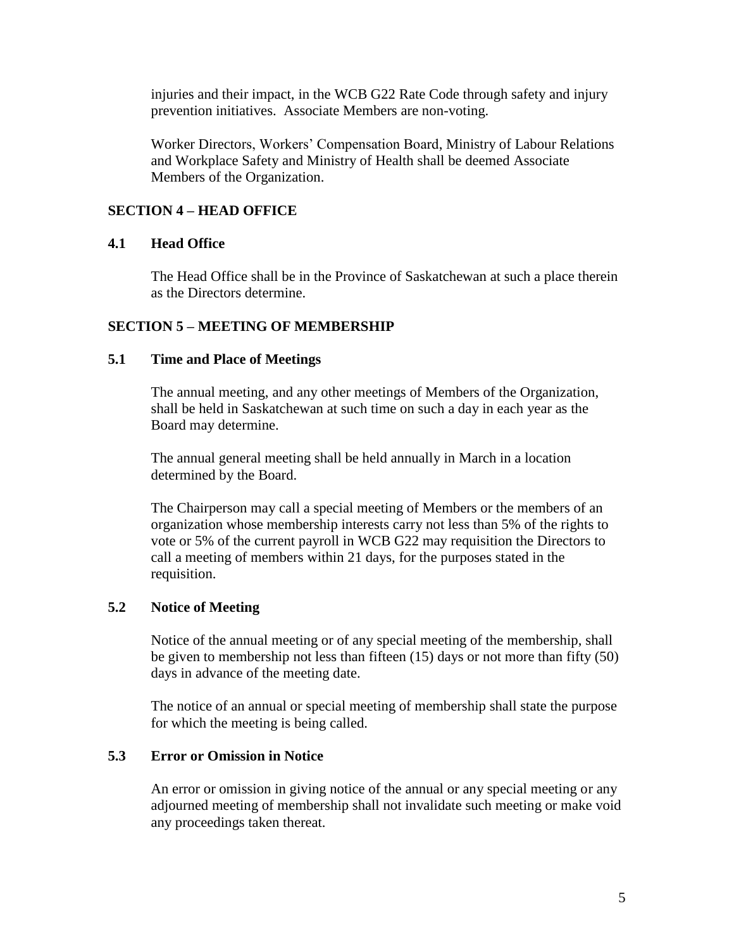injuries and their impact, in the WCB G22 Rate Code through safety and injury prevention initiatives. Associate Members are non-voting.

Worker Directors, Workers' Compensation Board, Ministry of Labour Relations and Workplace Safety and Ministry of Health shall be deemed Associate Members of the Organization.

# **SECTION 4 – HEAD OFFICE**

#### **4.1 Head Office**

The Head Office shall be in the Province of Saskatchewan at such a place therein as the Directors determine.

#### **SECTION 5 – MEETING OF MEMBERSHIP**

#### **5.1 Time and Place of Meetings**

The annual meeting, and any other meetings of Members of the Organization, shall be held in Saskatchewan at such time on such a day in each year as the Board may determine.

The annual general meeting shall be held annually in March in a location determined by the Board.

The Chairperson may call a special meeting of Members or the members of an organization whose membership interests carry not less than 5% of the rights to vote or 5% of the current payroll in WCB G22 may requisition the Directors to call a meeting of members within 21 days, for the purposes stated in the requisition.

### **5.2 Notice of Meeting**

Notice of the annual meeting or of any special meeting of the membership, shall be given to membership not less than fifteen (15) days or not more than fifty (50) days in advance of the meeting date.

The notice of an annual or special meeting of membership shall state the purpose for which the meeting is being called.

#### **5.3 Error or Omission in Notice**

An error or omission in giving notice of the annual or any special meeting or any adjourned meeting of membership shall not invalidate such meeting or make void any proceedings taken thereat.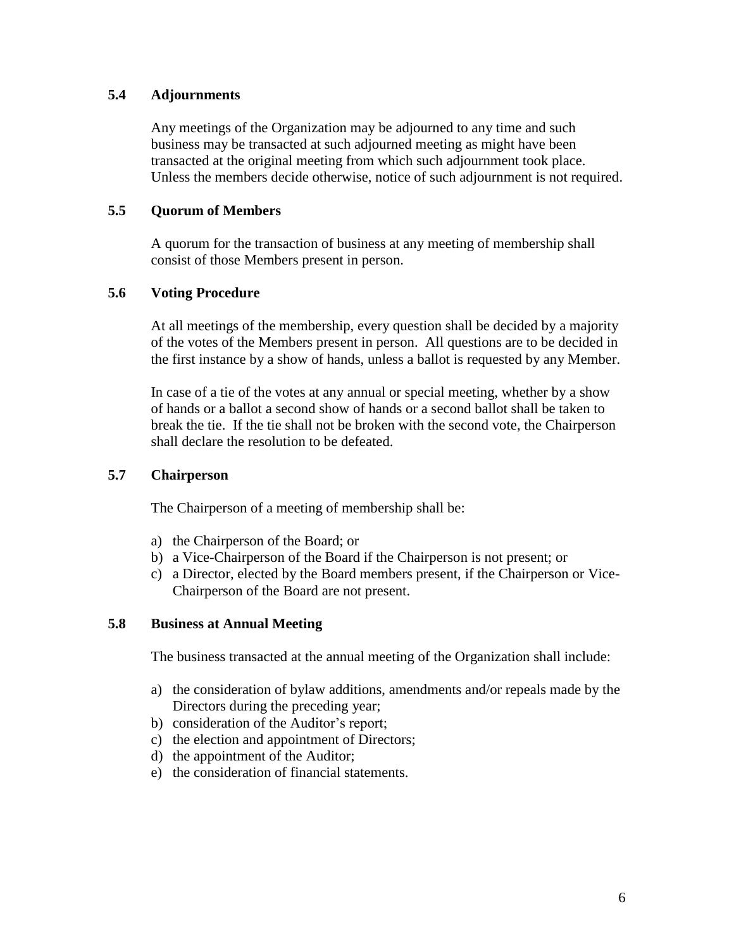### **5.4 Adjournments**

Any meetings of the Organization may be adjourned to any time and such business may be transacted at such adjourned meeting as might have been transacted at the original meeting from which such adjournment took place. Unless the members decide otherwise, notice of such adjournment is not required.

### **5.5 Quorum of Members**

A quorum for the transaction of business at any meeting of membership shall consist of those Members present in person.

### **5.6 Voting Procedure**

At all meetings of the membership, every question shall be decided by a majority of the votes of the Members present in person. All questions are to be decided in the first instance by a show of hands, unless a ballot is requested by any Member.

In case of a tie of the votes at any annual or special meeting, whether by a show of hands or a ballot a second show of hands or a second ballot shall be taken to break the tie. If the tie shall not be broken with the second vote, the Chairperson shall declare the resolution to be defeated.

### **5.7 Chairperson**

The Chairperson of a meeting of membership shall be:

- a) the Chairperson of the Board; or
- b) a Vice-Chairperson of the Board if the Chairperson is not present; or
- c) a Director, elected by the Board members present, if the Chairperson or Vice-Chairperson of the Board are not present.

#### **5.8 Business at Annual Meeting**

The business transacted at the annual meeting of the Organization shall include:

- a) the consideration of bylaw additions, amendments and/or repeals made by the Directors during the preceding year;
- b) consideration of the Auditor's report;
- c) the election and appointment of Directors;
- d) the appointment of the Auditor;
- e) the consideration of financial statements.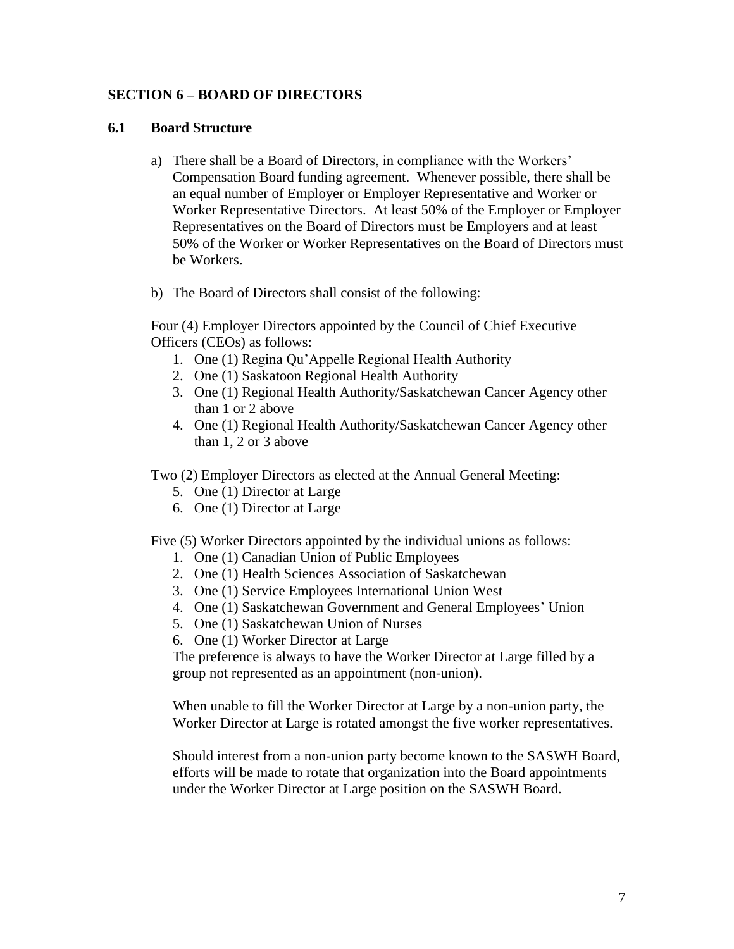### **SECTION 6 – BOARD OF DIRECTORS**

#### **6.1 Board Structure**

- a) There shall be a Board of Directors, in compliance with the Workers' Compensation Board funding agreement. Whenever possible, there shall be an equal number of Employer or Employer Representative and Worker or Worker Representative Directors. At least 50% of the Employer or Employer Representatives on the Board of Directors must be Employers and at least 50% of the Worker or Worker Representatives on the Board of Directors must be Workers.
- b) The Board of Directors shall consist of the following:

Four (4) Employer Directors appointed by the Council of Chief Executive Officers (CEOs) as follows:

- 1. One (1) Regina Qu'Appelle Regional Health Authority
- 2. One (1) Saskatoon Regional Health Authority
- 3. One (1) Regional Health Authority/Saskatchewan Cancer Agency other than 1 or 2 above
- 4. One (1) Regional Health Authority/Saskatchewan Cancer Agency other than 1, 2 or 3 above

Two (2) Employer Directors as elected at the Annual General Meeting:

- 5. One (1) Director at Large
- 6. One (1) Director at Large

Five (5) Worker Directors appointed by the individual unions as follows:

- 1. One (1) Canadian Union of Public Employees
- 2. One (1) Health Sciences Association of Saskatchewan
- 3. One (1) Service Employees International Union West
- 4. One (1) Saskatchewan Government and General Employees' Union
- 5. One (1) Saskatchewan Union of Nurses
- 6. One (1) Worker Director at Large

The preference is always to have the Worker Director at Large filled by a group not represented as an appointment (non-union).

When unable to fill the Worker Director at Large by a non-union party, the Worker Director at Large is rotated amongst the five worker representatives.

Should interest from a non-union party become known to the SASWH Board, efforts will be made to rotate that organization into the Board appointments under the Worker Director at Large position on the SASWH Board.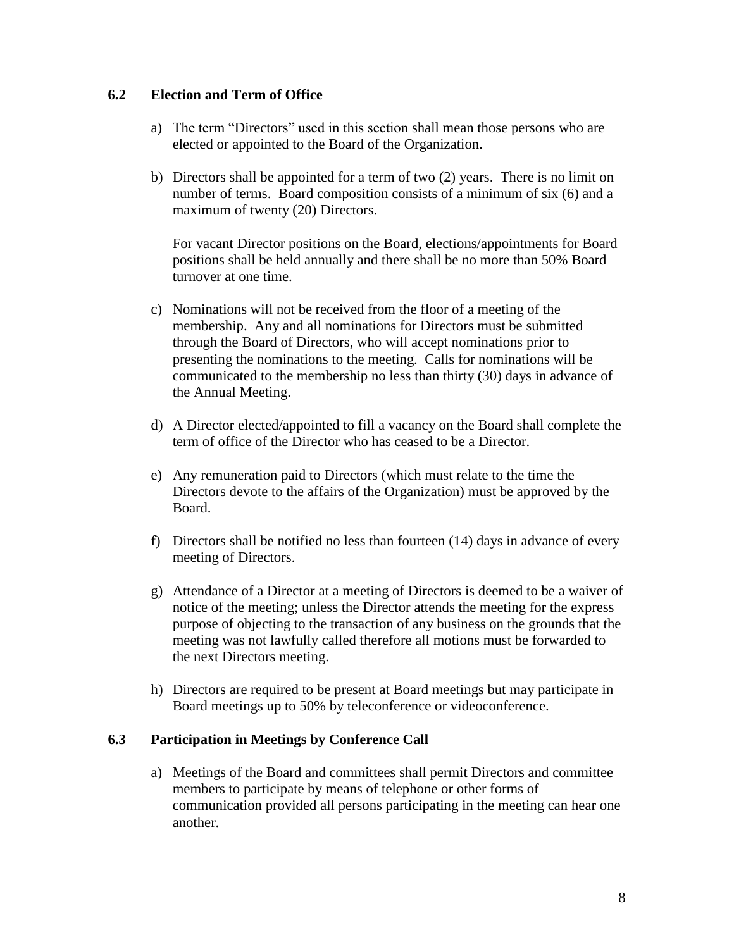### **6.2 Election and Term of Office**

- a) The term "Directors" used in this section shall mean those persons who are elected or appointed to the Board of the Organization.
- b) Directors shall be appointed for a term of two (2) years. There is no limit on number of terms. Board composition consists of a minimum of six (6) and a maximum of twenty (20) Directors.

For vacant Director positions on the Board, elections/appointments for Board positions shall be held annually and there shall be no more than 50% Board turnover at one time.

- c) Nominations will not be received from the floor of a meeting of the membership. Any and all nominations for Directors must be submitted through the Board of Directors, who will accept nominations prior to presenting the nominations to the meeting. Calls for nominations will be communicated to the membership no less than thirty (30) days in advance of the Annual Meeting.
- d) A Director elected/appointed to fill a vacancy on the Board shall complete the term of office of the Director who has ceased to be a Director.
- e) Any remuneration paid to Directors (which must relate to the time the Directors devote to the affairs of the Organization) must be approved by the Board.
- f) Directors shall be notified no less than fourteen (14) days in advance of every meeting of Directors.
- g) Attendance of a Director at a meeting of Directors is deemed to be a waiver of notice of the meeting; unless the Director attends the meeting for the express purpose of objecting to the transaction of any business on the grounds that the meeting was not lawfully called therefore all motions must be forwarded to the next Directors meeting.
- h) Directors are required to be present at Board meetings but may participate in Board meetings up to 50% by teleconference or videoconference.

#### **6.3 Participation in Meetings by Conference Call**

a) Meetings of the Board and committees shall permit Directors and committee members to participate by means of telephone or other forms of communication provided all persons participating in the meeting can hear one another.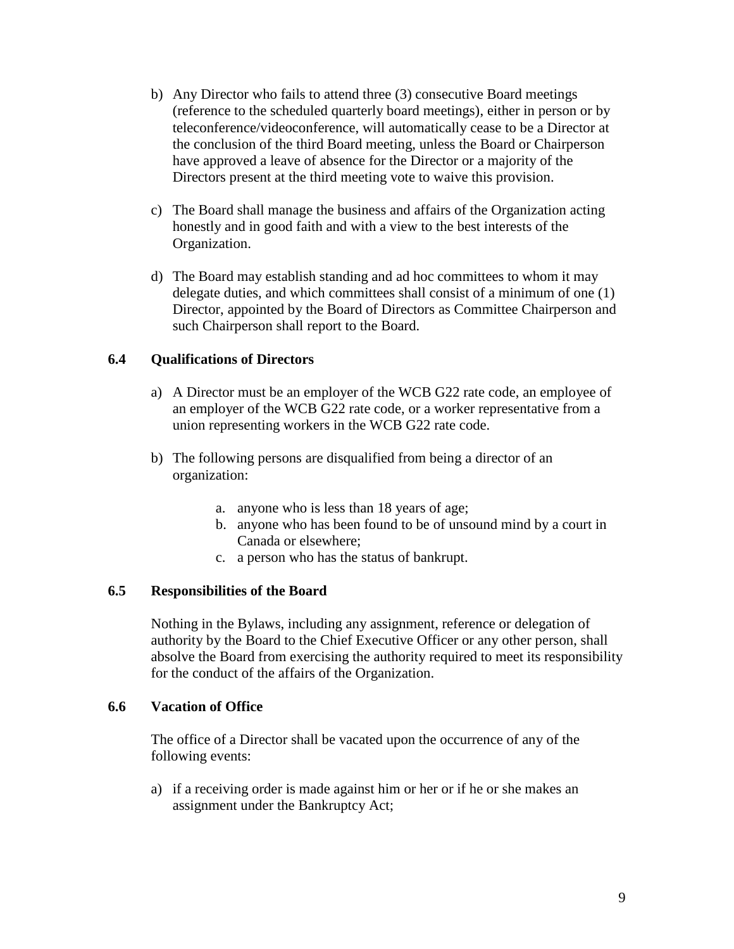- b) Any Director who fails to attend three (3) consecutive Board meetings (reference to the scheduled quarterly board meetings), either in person or by teleconference/videoconference, will automatically cease to be a Director at the conclusion of the third Board meeting, unless the Board or Chairperson have approved a leave of absence for the Director or a majority of the Directors present at the third meeting vote to waive this provision.
- c) The Board shall manage the business and affairs of the Organization acting honestly and in good faith and with a view to the best interests of the Organization.
- d) The Board may establish standing and ad hoc committees to whom it may delegate duties, and which committees shall consist of a minimum of one (1) Director, appointed by the Board of Directors as Committee Chairperson and such Chairperson shall report to the Board.

# **6.4 Qualifications of Directors**

- a) A Director must be an employer of the WCB G22 rate code, an employee of an employer of the WCB G22 rate code, or a worker representative from a union representing workers in the WCB G22 rate code.
- b) The following persons are disqualified from being a director of an organization:
	- a. anyone who is less than 18 years of age;
	- b. anyone who has been found to be of unsound mind by a court in Canada or elsewhere;
	- c. a person who has the status of bankrupt.

# **6.5 Responsibilities of the Board**

Nothing in the Bylaws, including any assignment, reference or delegation of authority by the Board to the Chief Executive Officer or any other person, shall absolve the Board from exercising the authority required to meet its responsibility for the conduct of the affairs of the Organization.

#### **6.6 Vacation of Office**

The office of a Director shall be vacated upon the occurrence of any of the following events:

a) if a receiving order is made against him or her or if he or she makes an assignment under the Bankruptcy Act;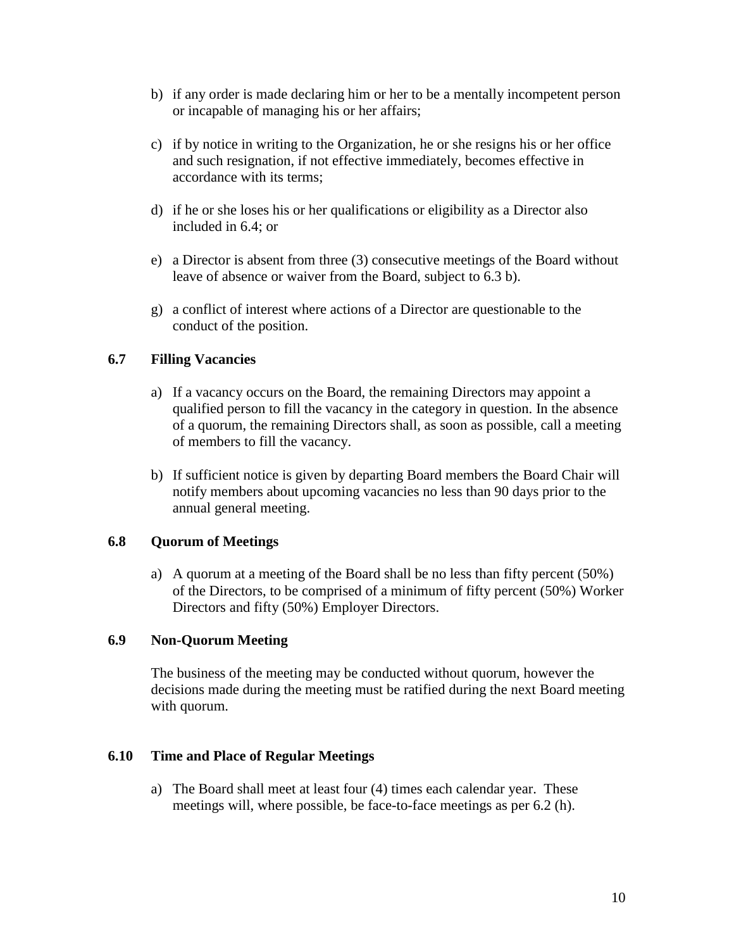- b) if any order is made declaring him or her to be a mentally incompetent person or incapable of managing his or her affairs;
- c) if by notice in writing to the Organization, he or she resigns his or her office and such resignation, if not effective immediately, becomes effective in accordance with its terms;
- d) if he or she loses his or her qualifications or eligibility as a Director also included in 6.4; or
- e) a Director is absent from three (3) consecutive meetings of the Board without leave of absence or waiver from the Board, subject to 6.3 b).
- g) a conflict of interest where actions of a Director are questionable to the conduct of the position.

# **6.7 Filling Vacancies**

- a) If a vacancy occurs on the Board, the remaining Directors may appoint a qualified person to fill the vacancy in the category in question. In the absence of a quorum, the remaining Directors shall, as soon as possible, call a meeting of members to fill the vacancy.
- b) If sufficient notice is given by departing Board members the Board Chair will notify members about upcoming vacancies no less than 90 days prior to the annual general meeting.

# **6.8 Quorum of Meetings**

a) A quorum at a meeting of the Board shall be no less than fifty percent (50%) of the Directors, to be comprised of a minimum of fifty percent (50%) Worker Directors and fifty (50%) Employer Directors.

# **6.9 Non-Quorum Meeting**

The business of the meeting may be conducted without quorum, however the decisions made during the meeting must be ratified during the next Board meeting with quorum.

# **6.10 Time and Place of Regular Meetings**

a) The Board shall meet at least four (4) times each calendar year. These meetings will, where possible, be face-to-face meetings as per 6.2 (h).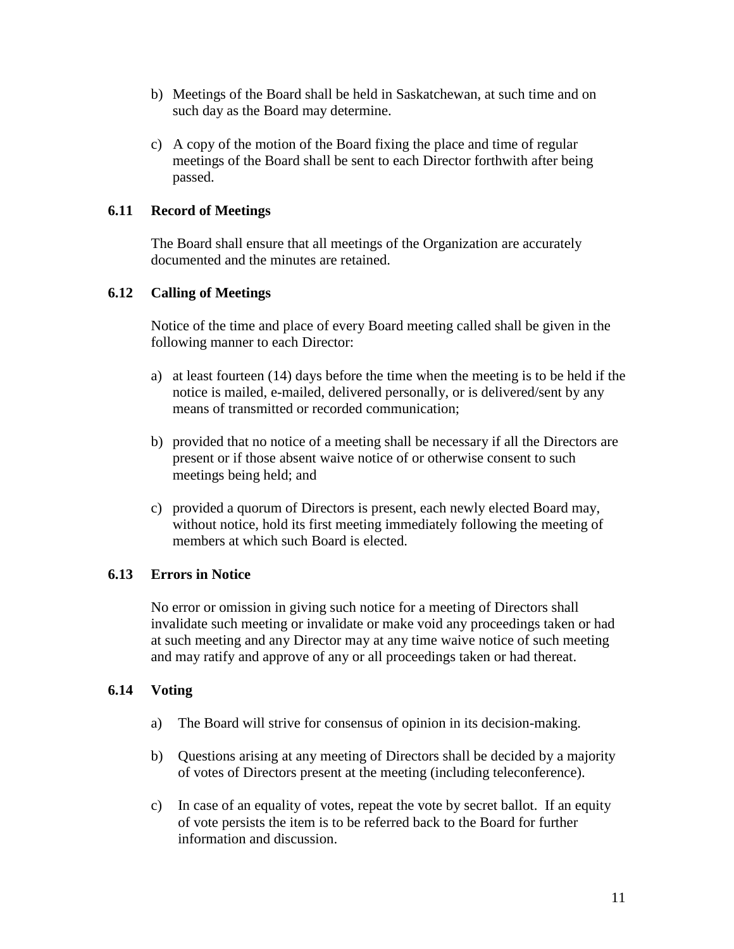- b) Meetings of the Board shall be held in Saskatchewan, at such time and on such day as the Board may determine.
- c) A copy of the motion of the Board fixing the place and time of regular meetings of the Board shall be sent to each Director forthwith after being passed.

# **6.11 Record of Meetings**

The Board shall ensure that all meetings of the Organization are accurately documented and the minutes are retained.

### **6.12 Calling of Meetings**

Notice of the time and place of every Board meeting called shall be given in the following manner to each Director:

- a) at least fourteen (14) days before the time when the meeting is to be held if the notice is mailed, e-mailed, delivered personally, or is delivered/sent by any means of transmitted or recorded communication;
- b) provided that no notice of a meeting shall be necessary if all the Directors are present or if those absent waive notice of or otherwise consent to such meetings being held; and
- c) provided a quorum of Directors is present, each newly elected Board may, without notice, hold its first meeting immediately following the meeting of members at which such Board is elected.

# **6.13 Errors in Notice**

No error or omission in giving such notice for a meeting of Directors shall invalidate such meeting or invalidate or make void any proceedings taken or had at such meeting and any Director may at any time waive notice of such meeting and may ratify and approve of any or all proceedings taken or had thereat.

#### **6.14 Voting**

- a) The Board will strive for consensus of opinion in its decision-making.
- b) Questions arising at any meeting of Directors shall be decided by a majority of votes of Directors present at the meeting (including teleconference).
- c) In case of an equality of votes, repeat the vote by secret ballot. If an equity of vote persists the item is to be referred back to the Board for further information and discussion.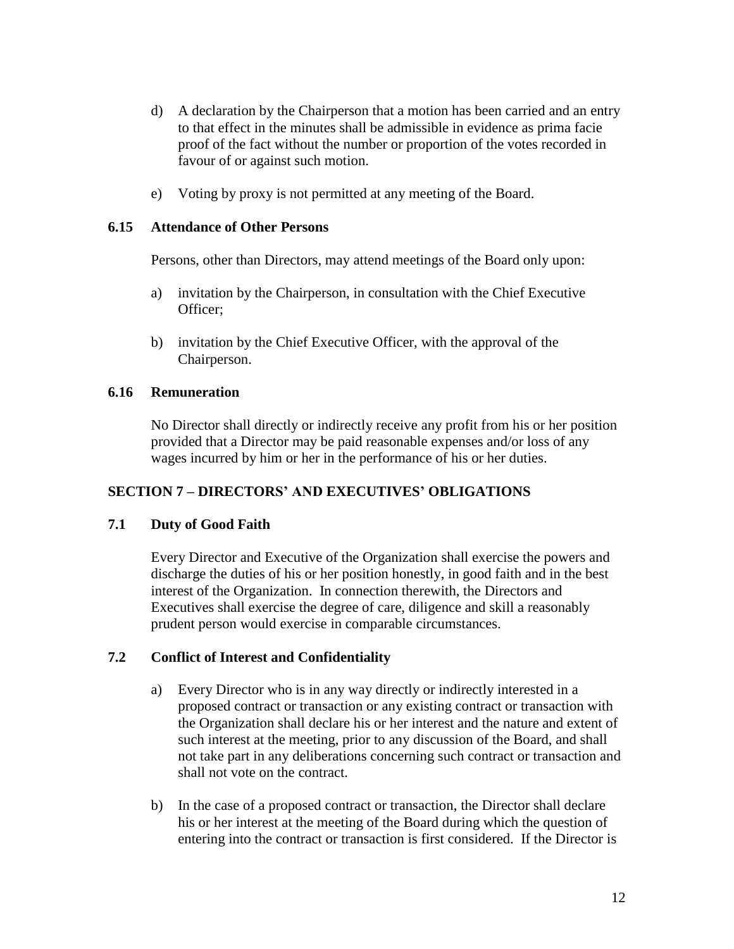- d) A declaration by the Chairperson that a motion has been carried and an entry to that effect in the minutes shall be admissible in evidence as prima facie proof of the fact without the number or proportion of the votes recorded in favour of or against such motion.
- e) Voting by proxy is not permitted at any meeting of the Board.

#### **6.15 Attendance of Other Persons**

Persons, other than Directors, may attend meetings of the Board only upon:

- a) invitation by the Chairperson, in consultation with the Chief Executive Officer;
- b) invitation by the Chief Executive Officer, with the approval of the Chairperson.

### **6.16 Remuneration**

No Director shall directly or indirectly receive any profit from his or her position provided that a Director may be paid reasonable expenses and/or loss of any wages incurred by him or her in the performance of his or her duties.

# **SECTION 7 – DIRECTORS' AND EXECUTIVES' OBLIGATIONS**

#### **7.1 Duty of Good Faith**

Every Director and Executive of the Organization shall exercise the powers and discharge the duties of his or her position honestly, in good faith and in the best interest of the Organization. In connection therewith, the Directors and Executives shall exercise the degree of care, diligence and skill a reasonably prudent person would exercise in comparable circumstances.

# **7.2 Conflict of Interest and Confidentiality**

- a) Every Director who is in any way directly or indirectly interested in a proposed contract or transaction or any existing contract or transaction with the Organization shall declare his or her interest and the nature and extent of such interest at the meeting, prior to any discussion of the Board, and shall not take part in any deliberations concerning such contract or transaction and shall not vote on the contract.
- b) In the case of a proposed contract or transaction, the Director shall declare his or her interest at the meeting of the Board during which the question of entering into the contract or transaction is first considered. If the Director is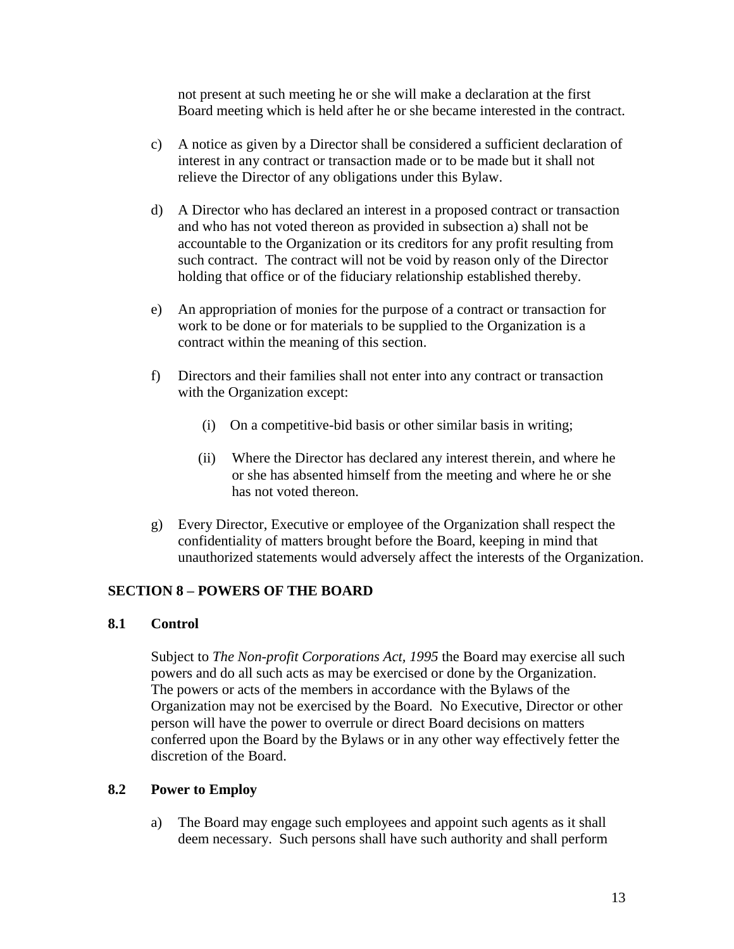not present at such meeting he or she will make a declaration at the first Board meeting which is held after he or she became interested in the contract.

- c) A notice as given by a Director shall be considered a sufficient declaration of interest in any contract or transaction made or to be made but it shall not relieve the Director of any obligations under this Bylaw.
- d) A Director who has declared an interest in a proposed contract or transaction and who has not voted thereon as provided in subsection a) shall not be accountable to the Organization or its creditors for any profit resulting from such contract. The contract will not be void by reason only of the Director holding that office or of the fiduciary relationship established thereby.
- e) An appropriation of monies for the purpose of a contract or transaction for work to be done or for materials to be supplied to the Organization is a contract within the meaning of this section.
- f) Directors and their families shall not enter into any contract or transaction with the Organization except:
	- (i) On a competitive-bid basis or other similar basis in writing;
	- (ii) Where the Director has declared any interest therein, and where he or she has absented himself from the meeting and where he or she has not voted thereon.
- g) Every Director, Executive or employee of the Organization shall respect the confidentiality of matters brought before the Board, keeping in mind that unauthorized statements would adversely affect the interests of the Organization.

# **SECTION 8 – POWERS OF THE BOARD**

#### **8.1 Control**

Subject to *The Non-profit Corporations Act, 1995* the Board may exercise all such powers and do all such acts as may be exercised or done by the Organization. The powers or acts of the members in accordance with the Bylaws of the Organization may not be exercised by the Board. No Executive, Director or other person will have the power to overrule or direct Board decisions on matters conferred upon the Board by the Bylaws or in any other way effectively fetter the discretion of the Board.

#### **8.2 Power to Employ**

a) The Board may engage such employees and appoint such agents as it shall deem necessary. Such persons shall have such authority and shall perform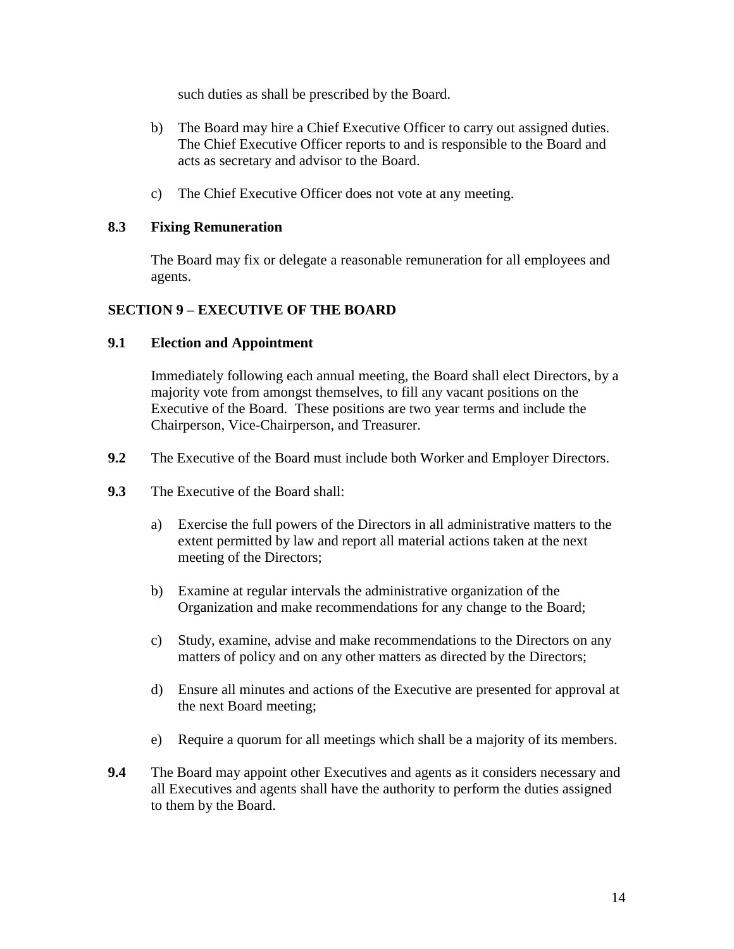such duties as shall be prescribed by the Board.

- b) The Board may hire a Chief Executive Officer to carry out assigned duties. The Chief Executive Officer reports to and is responsible to the Board and acts as secretary and advisor to the Board.
- c) The Chief Executive Officer does not vote at any meeting.

### **8.3 Fixing Remuneration**

The Board may fix or delegate a reasonable remuneration for all employees and agents.

# **SECTION 9 – EXECUTIVE OF THE BOARD**

#### **9.1 Election and Appointment**

Immediately following each annual meeting, the Board shall elect Directors, by a majority vote from amongst themselves, to fill any vacant positions on the Executive of the Board. These positions are two year terms and include the Chairperson, Vice-Chairperson, and Treasurer.

- **9.2** The Executive of the Board must include both Worker and Employer Directors.
- **9.3** The Executive of the Board shall:
	- a) Exercise the full powers of the Directors in all administrative matters to the extent permitted by law and report all material actions taken at the next meeting of the Directors;
	- b) Examine at regular intervals the administrative organization of the Organization and make recommendations for any change to the Board;
	- c) Study, examine, advise and make recommendations to the Directors on any matters of policy and on any other matters as directed by the Directors;
	- d) Ensure all minutes and actions of the Executive are presented for approval at the next Board meeting;
	- e) Require a quorum for all meetings which shall be a majority of its members.
- **9.4** The Board may appoint other Executives and agents as it considers necessary and all Executives and agents shall have the authority to perform the duties assigned to them by the Board.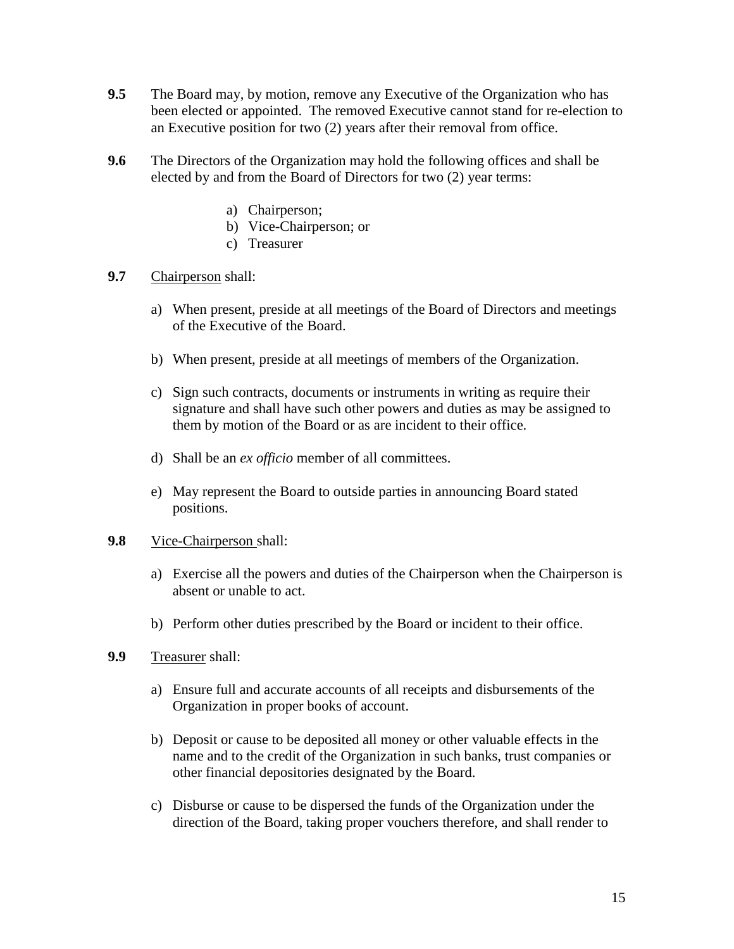- **9.5** The Board may, by motion, remove any Executive of the Organization who has been elected or appointed. The removed Executive cannot stand for re-election to an Executive position for two (2) years after their removal from office.
- **9.6** The Directors of the Organization may hold the following offices and shall be elected by and from the Board of Directors for two (2) year terms:
	- a) Chairperson;
	- b) Vice-Chairperson; or
	- c) Treasurer
- **9.7** Chairperson shall:
	- a) When present, preside at all meetings of the Board of Directors and meetings of the Executive of the Board.
	- b) When present, preside at all meetings of members of the Organization.
	- c) Sign such contracts, documents or instruments in writing as require their signature and shall have such other powers and duties as may be assigned to them by motion of the Board or as are incident to their office.
	- d) Shall be an *ex officio* member of all committees.
	- e) May represent the Board to outside parties in announcing Board stated positions.
- **9.8** Vice-Chairperson shall:
	- a) Exercise all the powers and duties of the Chairperson when the Chairperson is absent or unable to act.
	- b) Perform other duties prescribed by the Board or incident to their office.
- **9.9** Treasurer shall:
	- a) Ensure full and accurate accounts of all receipts and disbursements of the Organization in proper books of account.
	- b) Deposit or cause to be deposited all money or other valuable effects in the name and to the credit of the Organization in such banks, trust companies or other financial depositories designated by the Board.
	- c) Disburse or cause to be dispersed the funds of the Organization under the direction of the Board, taking proper vouchers therefore, and shall render to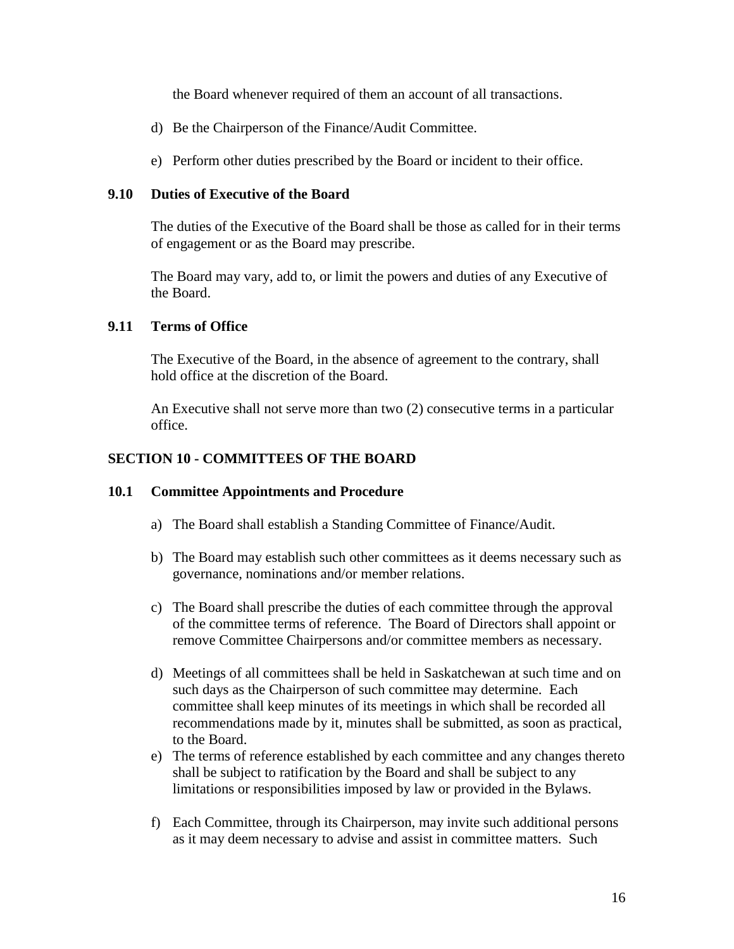the Board whenever required of them an account of all transactions.

- d) Be the Chairperson of the Finance/Audit Committee.
- e) Perform other duties prescribed by the Board or incident to their office.

#### **9.10 Duties of Executive of the Board**

The duties of the Executive of the Board shall be those as called for in their terms of engagement or as the Board may prescribe.

The Board may vary, add to, or limit the powers and duties of any Executive of the Board.

### **9.11 Terms of Office**

The Executive of the Board, in the absence of agreement to the contrary, shall hold office at the discretion of the Board.

An Executive shall not serve more than two (2) consecutive terms in a particular office.

# **SECTION 10 - COMMITTEES OF THE BOARD**

#### **10.1 Committee Appointments and Procedure**

- a) The Board shall establish a Standing Committee of Finance/Audit.
- b) The Board may establish such other committees as it deems necessary such as governance, nominations and/or member relations.
- c) The Board shall prescribe the duties of each committee through the approval of the committee terms of reference. The Board of Directors shall appoint or remove Committee Chairpersons and/or committee members as necessary.
- d) Meetings of all committees shall be held in Saskatchewan at such time and on such days as the Chairperson of such committee may determine. Each committee shall keep minutes of its meetings in which shall be recorded all recommendations made by it, minutes shall be submitted, as soon as practical, to the Board.
- e) The terms of reference established by each committee and any changes thereto shall be subject to ratification by the Board and shall be subject to any limitations or responsibilities imposed by law or provided in the Bylaws.
- f) Each Committee, through its Chairperson, may invite such additional persons as it may deem necessary to advise and assist in committee matters. Such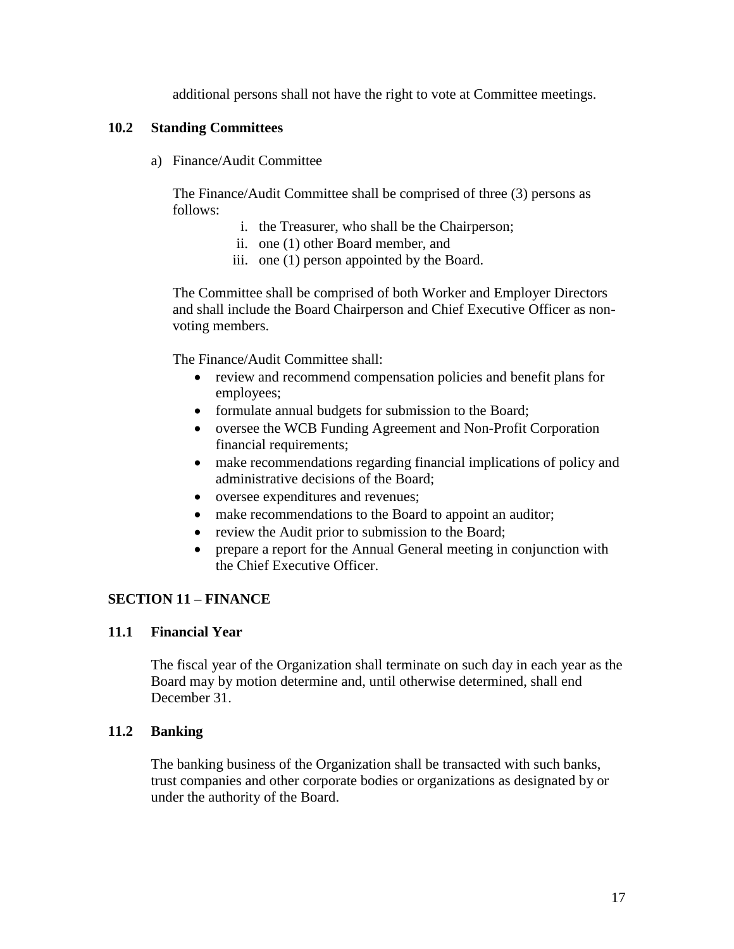additional persons shall not have the right to vote at Committee meetings.

#### **10.2 Standing Committees**

a) Finance/Audit Committee

The Finance/Audit Committee shall be comprised of three (3) persons as follows:

- i. the Treasurer, who shall be the Chairperson;
- ii. one (1) other Board member, and
- iii. one (1) person appointed by the Board.

The Committee shall be comprised of both Worker and Employer Directors and shall include the Board Chairperson and Chief Executive Officer as nonvoting members.

The Finance/Audit Committee shall:

- review and recommend compensation policies and benefit plans for employees;
- formulate annual budgets for submission to the Board;
- oversee the WCB Funding Agreement and Non-Profit Corporation financial requirements;
- make recommendations regarding financial implications of policy and administrative decisions of the Board;
- oversee expenditures and revenues;
- make recommendations to the Board to appoint an auditor;
- review the Audit prior to submission to the Board;
- prepare a report for the Annual General meeting in conjunction with the Chief Executive Officer.

# **SECTION 11 – FINANCE**

#### **11.1 Financial Year**

The fiscal year of the Organization shall terminate on such day in each year as the Board may by motion determine and, until otherwise determined, shall end December 31.

# **11.2 Banking**

The banking business of the Organization shall be transacted with such banks, trust companies and other corporate bodies or organizations as designated by or under the authority of the Board.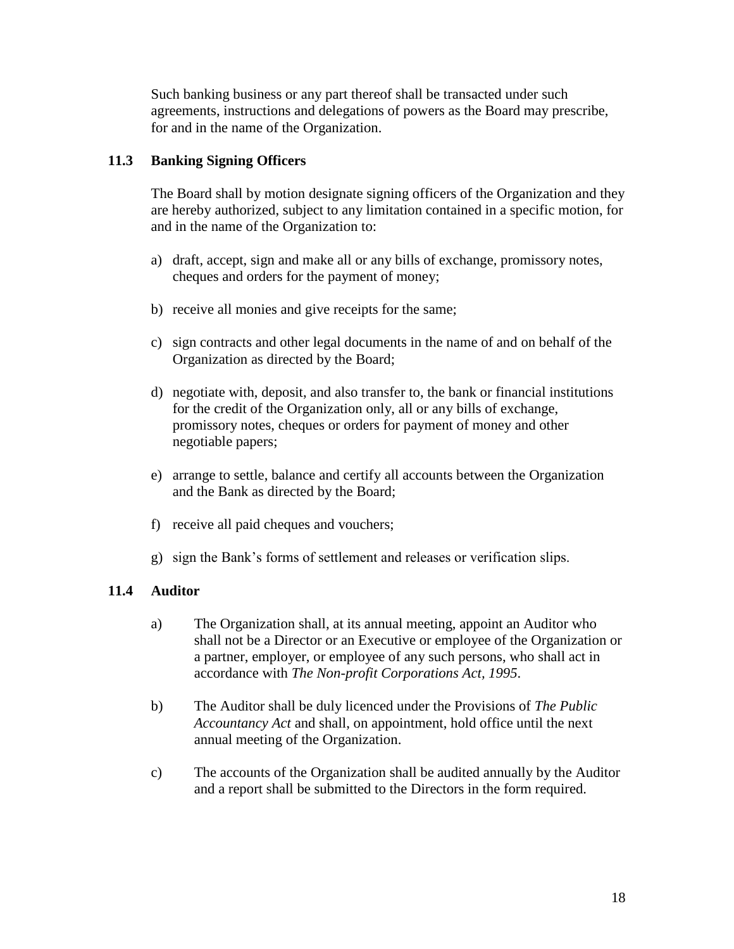Such banking business or any part thereof shall be transacted under such agreements, instructions and delegations of powers as the Board may prescribe, for and in the name of the Organization.

# **11.3 Banking Signing Officers**

The Board shall by motion designate signing officers of the Organization and they are hereby authorized, subject to any limitation contained in a specific motion, for and in the name of the Organization to:

- a) draft, accept, sign and make all or any bills of exchange, promissory notes, cheques and orders for the payment of money;
- b) receive all monies and give receipts for the same;
- c) sign contracts and other legal documents in the name of and on behalf of the Organization as directed by the Board;
- d) negotiate with, deposit, and also transfer to, the bank or financial institutions for the credit of the Organization only, all or any bills of exchange, promissory notes, cheques or orders for payment of money and other negotiable papers;
- e) arrange to settle, balance and certify all accounts between the Organization and the Bank as directed by the Board;
- f) receive all paid cheques and vouchers;
- g) sign the Bank's forms of settlement and releases or verification slips.

# **11.4 Auditor**

- a) The Organization shall, at its annual meeting, appoint an Auditor who shall not be a Director or an Executive or employee of the Organization or a partner, employer, or employee of any such persons, who shall act in accordance with *The Non-profit Corporations Act, 1995*.
- b) The Auditor shall be duly licenced under the Provisions of *The Public Accountancy Act* and shall, on appointment, hold office until the next annual meeting of the Organization.
- c) The accounts of the Organization shall be audited annually by the Auditor and a report shall be submitted to the Directors in the form required.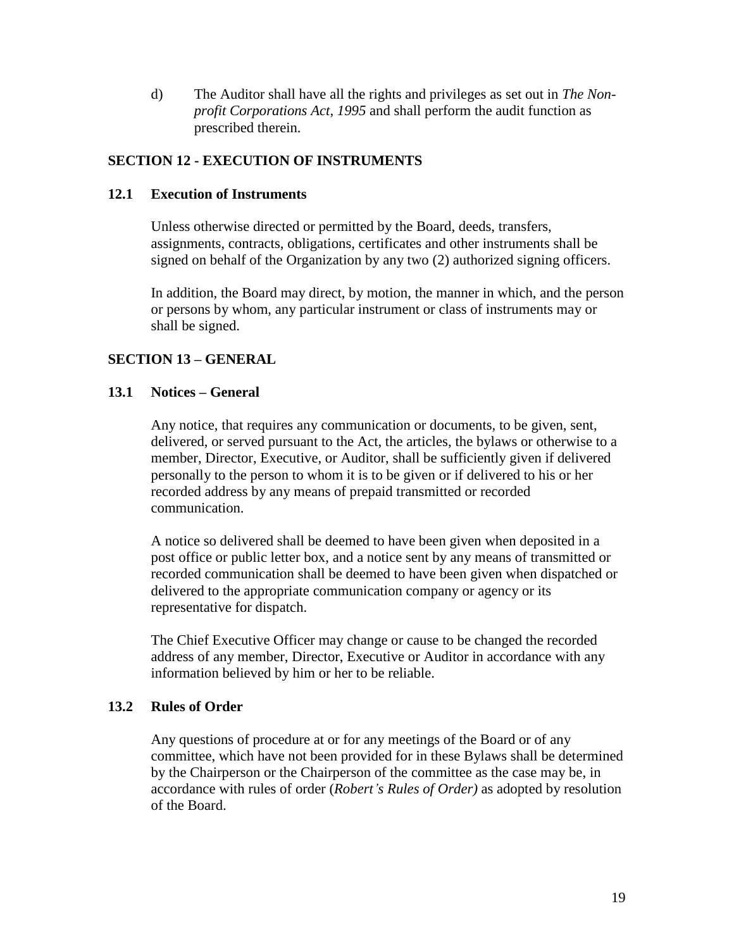d) The Auditor shall have all the rights and privileges as set out in *The Nonprofit Corporations Act, 1995* and shall perform the audit function as prescribed therein.

# **SECTION 12 - EXECUTION OF INSTRUMENTS**

### **12.1 Execution of Instruments**

Unless otherwise directed or permitted by the Board, deeds, transfers, assignments, contracts, obligations, certificates and other instruments shall be signed on behalf of the Organization by any two (2) authorized signing officers.

In addition, the Board may direct, by motion, the manner in which, and the person or persons by whom, any particular instrument or class of instruments may or shall be signed.

# **SECTION 13 – GENERAL**

#### **13.1 Notices – General**

Any notice, that requires any communication or documents, to be given, sent, delivered, or served pursuant to the Act, the articles, the bylaws or otherwise to a member, Director, Executive, or Auditor, shall be sufficiently given if delivered personally to the person to whom it is to be given or if delivered to his or her recorded address by any means of prepaid transmitted or recorded communication.

A notice so delivered shall be deemed to have been given when deposited in a post office or public letter box, and a notice sent by any means of transmitted or recorded communication shall be deemed to have been given when dispatched or delivered to the appropriate communication company or agency or its representative for dispatch.

The Chief Executive Officer may change or cause to be changed the recorded address of any member, Director, Executive or Auditor in accordance with any information believed by him or her to be reliable.

#### **13.2 Rules of Order**

Any questions of procedure at or for any meetings of the Board or of any committee, which have not been provided for in these Bylaws shall be determined by the Chairperson or the Chairperson of the committee as the case may be, in accordance with rules of order (*Robert's Rules of Order)* as adopted by resolution of the Board.